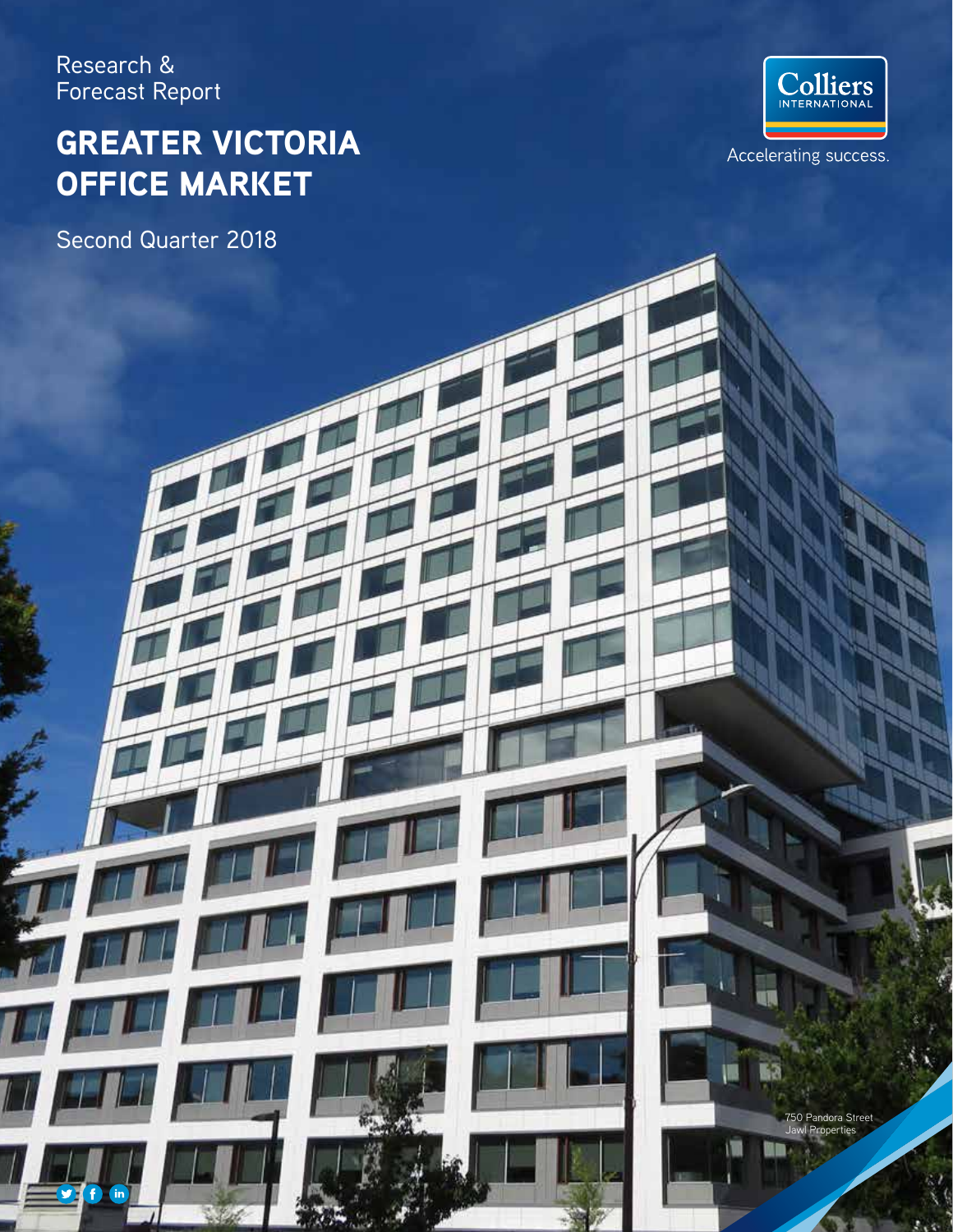Research & Forecast Report

# GREATER VICTORIA OFFICE MARKET

Second Quarter 2018



750 Pandora Street vl Properties

U.

U

Accelerating success.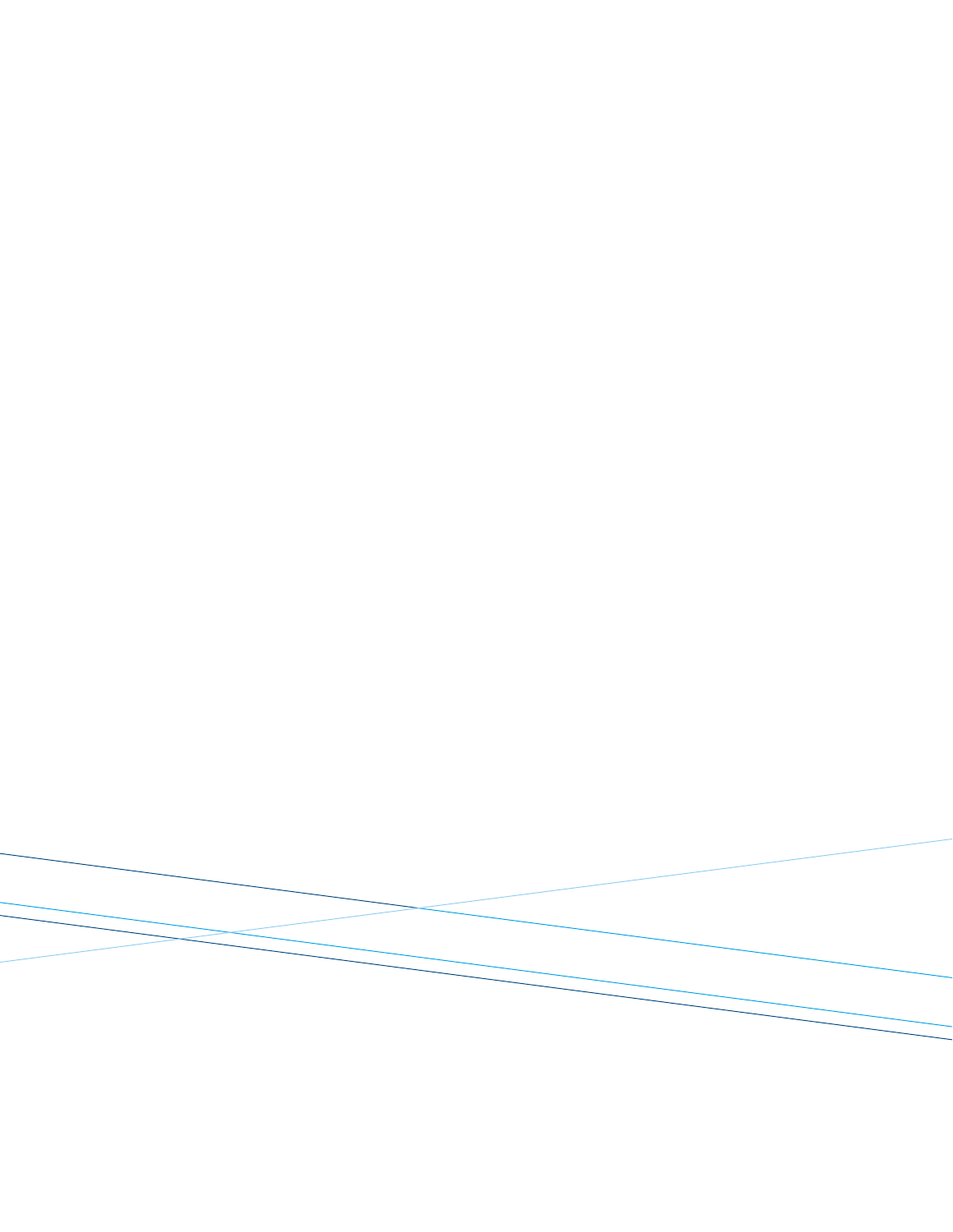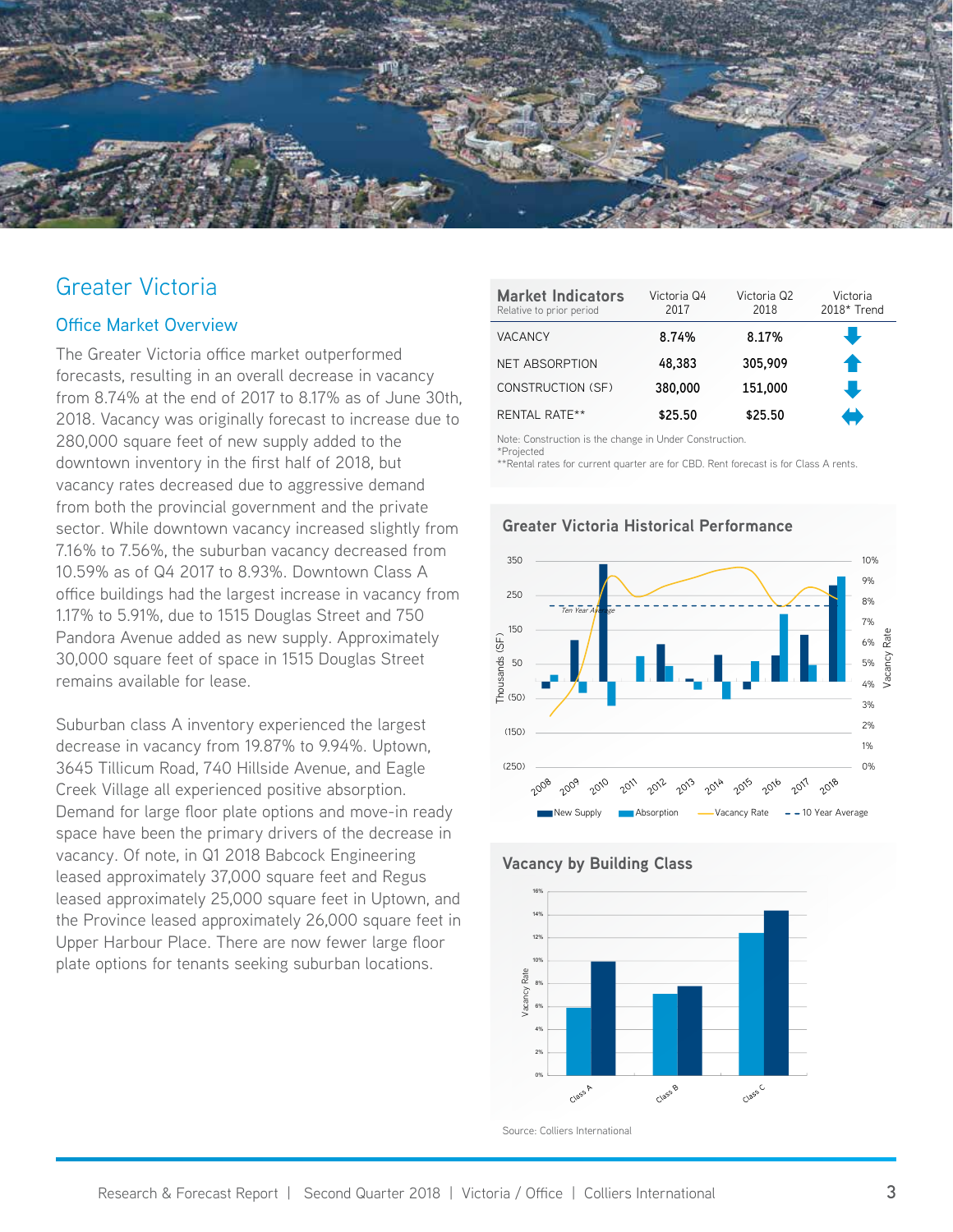

## Greater Victoria

#### Office Market Overview

The Greater Victoria office market outperformed forecasts, resulting in an overall decrease in vacancy from 8.74% at the end of 2017 to 8.17% as of June 30th, 2018. Vacancy was originally forecast to increase due to 280,000 square feet of new supply added to the downtown inventory in the first half of 2018, but vacancy rates decreased due to aggressive demand from both the provincial government and the private sector. While downtown vacancy increased slightly from 7.16% to 7.56%, the suburban vacancy decreased from 10.59% as of Q4 2017 to 8.93%. Downtown Class A office buildings had the largest increase in vacancy from 1.17% to 5.91%, due to 1515 Douglas Street and 750 Pandora Avenue added as new supply. Approximately 30,000 square feet of space in 1515 Douglas Street remains available for lease.

Suburban class A inventory experienced the largest decrease in vacancy from 19.87% to 9.94%. Uptown, 3645 Tillicum Road, 740 Hillside Avenue, and Eagle Creek Village all experienced positive absorption. Demand for large floor plate options and move-in ready space have been the primary drivers of the decrease in vacancy. Of note, in Q1 2018 Babcock Engineering leased approximately 37,000 square feet and Regus leased approximately 25,000 square feet in Uptown, and the Province leased approximately 26,000 square feet in Upper Harbour Place. There are now fewer large floor plate options for tenants seeking suburban locations.

| <b>Market Indicators</b><br>Relative to prior period | Victoria Q4<br>2017 | Victoria Q2<br>2018 | Victoria<br>$2018*$ Trend |
|------------------------------------------------------|---------------------|---------------------|---------------------------|
| VACANCY                                              | 8.74%               | 8.17%               | u.                        |
| <b>NET ABSORPTION</b>                                | 48.383              | 305,909             | $\bullet$                 |
| CONSTRUCTION (SF)                                    | 380,000             | 151,000             |                           |
| <b>RENTAL RATE**</b>                                 | \$25.50             | \$25.50             |                           |

Note: Construction is the change in Under Construction.

\*Projected

\*\*Rental rates for current quarter are for CBD. Rent forecast is for Class A rents.







Source: Colliers International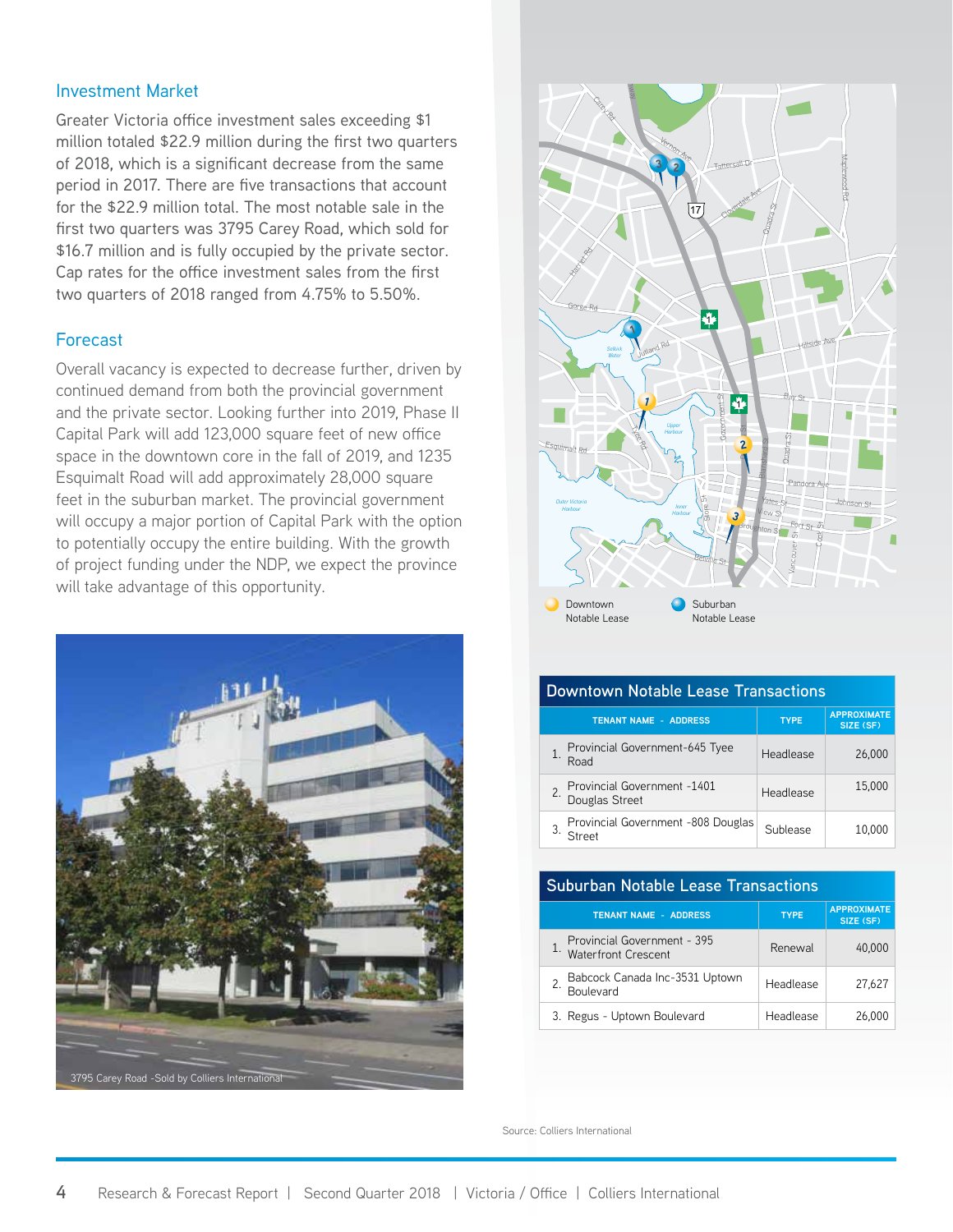## Investment Market

Greater Victoria office investment sales exceeding \$1 1 are and the canada medical medical care of the canada Highway in the million totaled \$22.9 million during the first two quarters of 2018, which is a significant decrease from the same period in 2017. There are five transactions that account for the \$22.9 million total. The most notable sale in the first two quarters was 3795 Carey Road, which sold for \$16.7 million and is fully occupied by the private sector. Cap rates for the office investment sales from the first two quarters of 2018 ranged from 4.75% to 5.50%. Craigower Rd

#### Forecast

Overall vacancy is expected to decrease further, driven by continued demand from both the provincial government and the private sector. Looking further into 2019, Phase II Capital Park will add 123,000 square feet of new office space in the downtown core in the fall of 2019, and 1235 Esquimalt Road will add approximately 28,000 square Esquimalt Road will add approximately 28,000 square<br>feet in the suburban market. The provincial government will occupy a major portion of Capital Park with the option to potentially occupy the entire building. With the growth of project funding under the NDP, we expect the province will take advantage of this opportunity.





#### **Downtown Notable Lease Transactions**

| <b>TENANT NAME - ADDRESS</b>                  | <b>TYPE</b> | <b>APPROXIMATE</b><br>SIZE (SF) |
|-----------------------------------------------|-------------|---------------------------------|
| Provincial Government-645 Tyee<br>Road        | Headlease   | 26,000                          |
| Provincial Government -1401<br>Douglas Street | Headlease   | 15.000                          |
| Provincial Government -808 Douglas<br>Street  | Sublease    | 10,000                          |

#### **Suburban Notable Lease Transactions**

| <b>TENANT NAME - ADDRESS</b>                       | <b>TYPE</b> | <b>APPROXIMATE</b><br>SIZE (SF) |
|----------------------------------------------------|-------------|---------------------------------|
| Provincial Government - 395<br>Waterfront Crescent | Renewal     | 40,000                          |
| 2. Babcock Canada Inc-3531 Uptown<br>Boulevard     | Headlease   | 27.627                          |
| 3. Regus - Uptown Boulevard                        | Headlease   | 26,000                          |

Source: Colliers International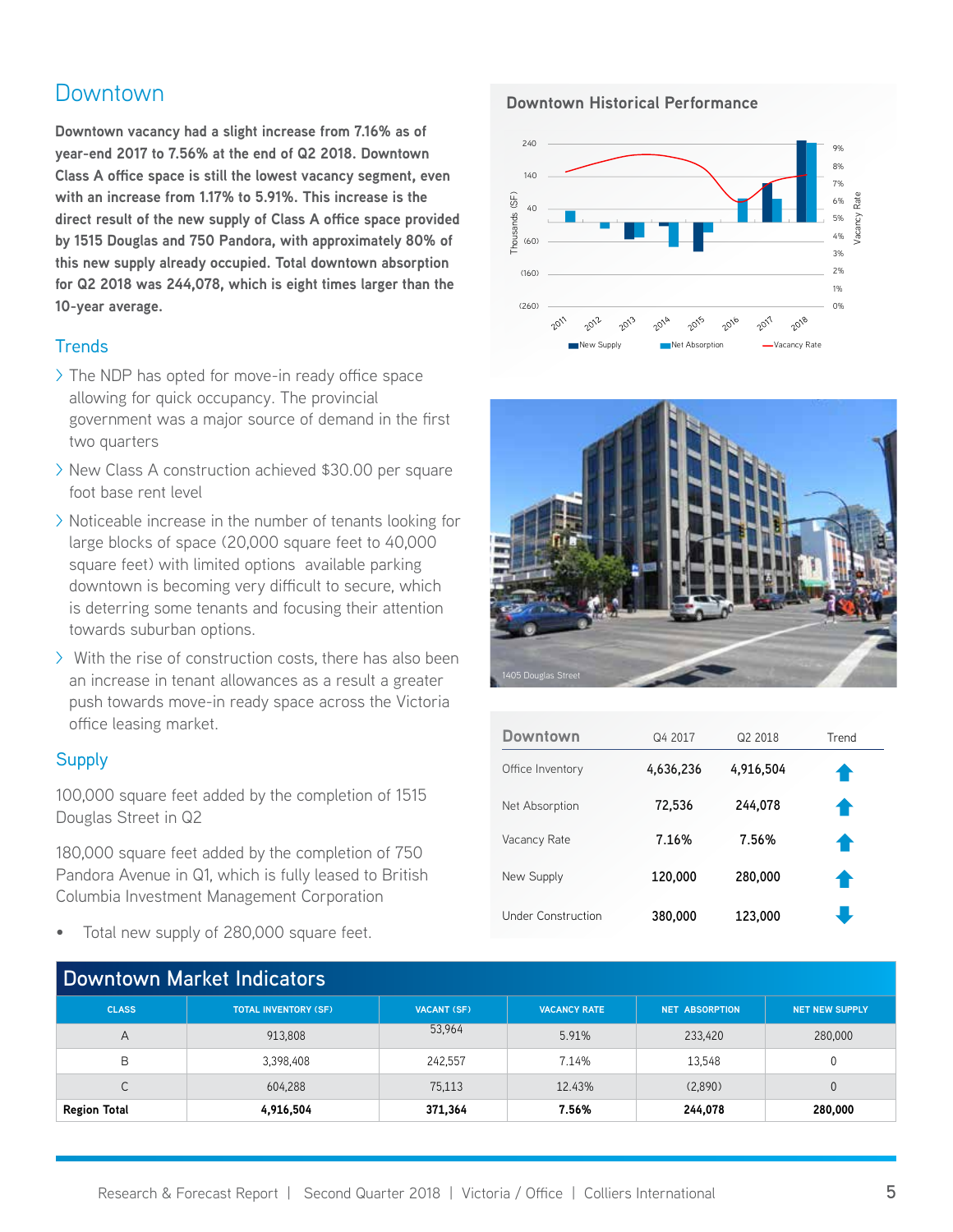## Downtown

**Downtown vacancy had a slight increase from 7.16% as of year-end 2017 to 7.56% at the end of Q2 2018. Downtown Class A office space is still the lowest vacancy segment, even with an increase from 1.17% to 5.91%. This increase is the direct result of the new supply of Class A office space provided by 1515 Douglas and 750 Pandora, with approximately 80% of this new supply already occupied. Total downtown absorption for Q2 2018 was 244,078, which is eight times larger than the 10-year average.**

#### **Trends**

- > The NDP has opted for move-in ready office space allowing for quick occupancy. The provincial government was a major source of demand in the first two quarters
- > New Class A construction achieved \$30.00 per square foot base rent level
- > Noticeable increase in the number of tenants looking for large blocks of space (20,000 square feet to 40,000 square feet) with limited options available parking downtown is becoming very difficult to secure, which is deterring some tenants and focusing their attention towards suburban options.
- > With the rise of construction costs, there has also been an increase in tenant allowances as a result a greater push towards move-in ready space across the Victoria office leasing market.

### **Supply**

100,000 square feet added by the completion of 1515 Douglas Street in Q2

180,000 square feet added by the completion of 750 Pandora Avenue in Q1, which is fully leased to British Columbia Investment Management Corporation

Total new supply of 280,000 square feet.

**Downtown Historical Performance**





| Downtown                  | Q4 2017   | Q <sub>2</sub> 2018 | Trend     |
|---------------------------|-----------|---------------------|-----------|
| Office Inventory          | 4,636,236 | 4,916,504           | T         |
| Net Absorption            | 72,536    | 244,078             | ⋒         |
| Vacancy Rate              | 7.16%     | 7.56%               | $\bullet$ |
| New Supply                | 120,000   | 280,000             | œ         |
| <b>Under Construction</b> | 380,000   | 123,000             |           |

| <b>Downtown Market Indicators</b> |                             |                    |                     |                       |                       |
|-----------------------------------|-----------------------------|--------------------|---------------------|-----------------------|-----------------------|
| <b>CLASS</b>                      | <b>TOTAL INVENTORY (SF)</b> | <b>VACANT (SF)</b> | <b>VACANCY RATE</b> | <b>NET ABSORPTION</b> | <b>NET NEW SUPPLY</b> |
| A                                 | 913.808                     | 53.964             | 5.91%               | 233,420               | 280,000               |
| B                                 | 3,398,408                   | 242.557            | 7.14%               | 13.548                |                       |
| C                                 | 604.288                     | 75.113             | 12.43%              | (2.890)               |                       |
| <b>Region Total</b>               | 4,916,504                   | 371,364            | 7.56%               | 244,078               | 280,000               |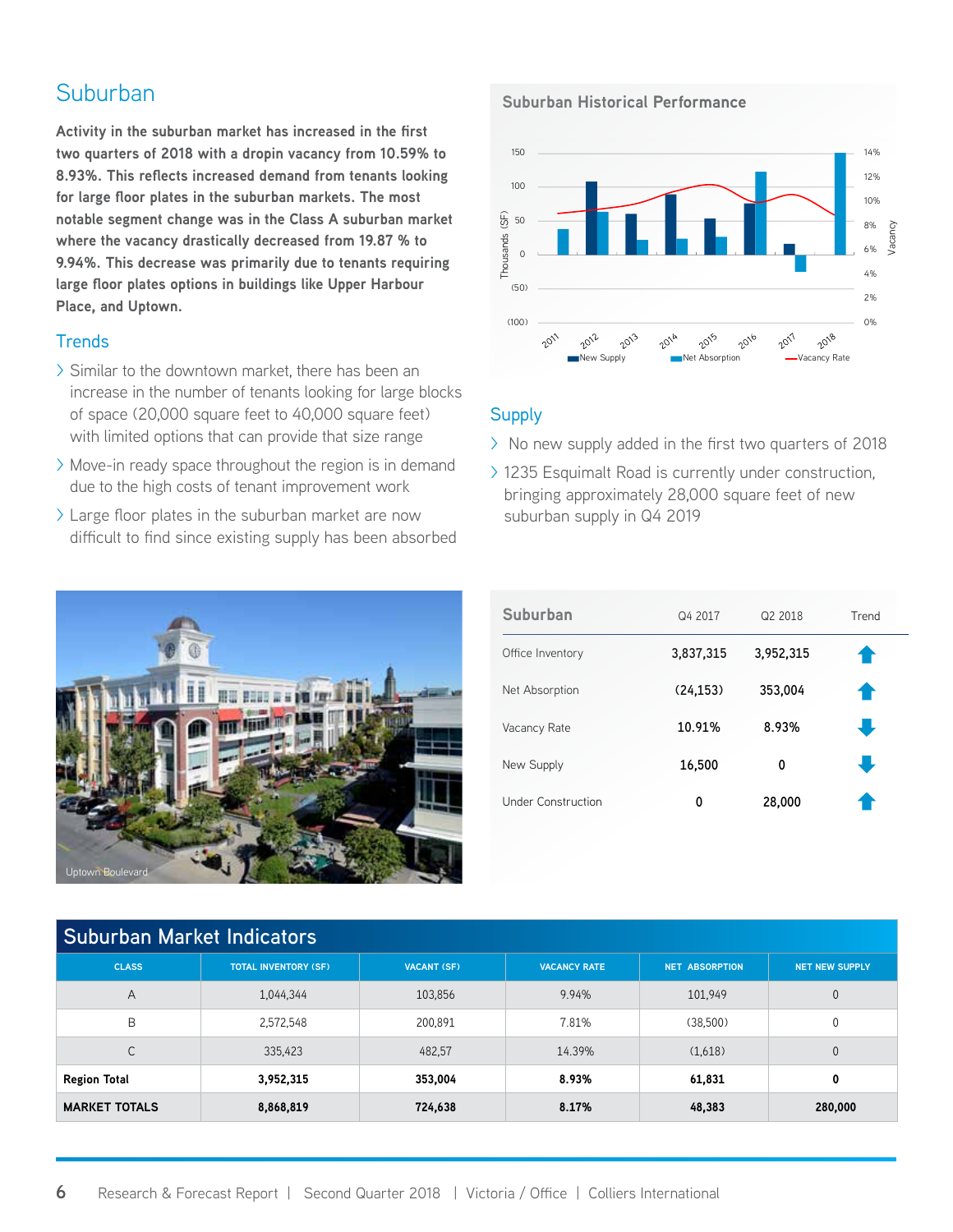## Suburban

**Activity in the suburban market has increased in the first two quarters of 2018 with a dropin vacancy from 10.59% to 8.93%. This reflects increased demand from tenants looking for large floor plates in the suburban markets. The most notable segment change was in the Class A suburban market where the vacancy drastically decreased from 19.87 % to 9.94%. This decrease was primarily due to tenants requiring large floor plates options in buildings like Upper Harbour Place, and Uptown.**

#### **Trends**

- > Similar to the downtown market, there has been an increase in the number of tenants looking for large blocks of space (20,000 square feet to 40,000 square feet) with limited options that can provide that size range
- > Move-in ready space throughout the region is in demand due to the high costs of tenant improvement work
- > Large floor plates in the suburban market are now difficult to find since existing supply has been absorbed





### **Supply**

- > No new supply added in the first two quarters of 2018
- > 1235 Esquimalt Road is currently under construction, bringing approximately 28,000 square feet of new suburban supply in Q4 2019



| <b>Suburban</b>    | Q4 2017   | Q2 2018   | Trend |
|--------------------|-----------|-----------|-------|
| Office Inventory   | 3,837,315 | 3,952,315 | ▜     |
| Net Absorption     | (24, 153) | 353,004   | ▜     |
| Vacancy Rate       | 10.91%    | 8.93%     | ┺     |
| New Supply         | 16,500    | 0         |       |
| Under Construction | 0         | 28,000    |       |

## **Suburban Market Indicators**

| <b>CLASS</b>         | <b>TOTAL INVENTORY (SF)</b> | <b>VACANT (SF)</b> | <b>VACANCY RATE</b> | <b>NET ABSORPTION</b> | <b>NET NEW SUPPLY</b> |  |
|----------------------|-----------------------------|--------------------|---------------------|-----------------------|-----------------------|--|
| A                    | 1,044,344                   | 103,856            | 9.94%               | 101,949               | 0                     |  |
| B                    | 2,572,548                   | 200,891            | 7.81%               | (38,500)              | 0                     |  |
| $\Gamma$<br>◡        | 335,423                     | 482,57             | 14.39%              | (1,618)               | $\theta$              |  |
| <b>Region Total</b>  | 3,952,315                   | 353,004            | 8.93%               | 61,831                | 0                     |  |
| <b>MARKET TOTALS</b> | 8,868,819                   | 724,638            | 8.17%               | 48,383                | 280,000               |  |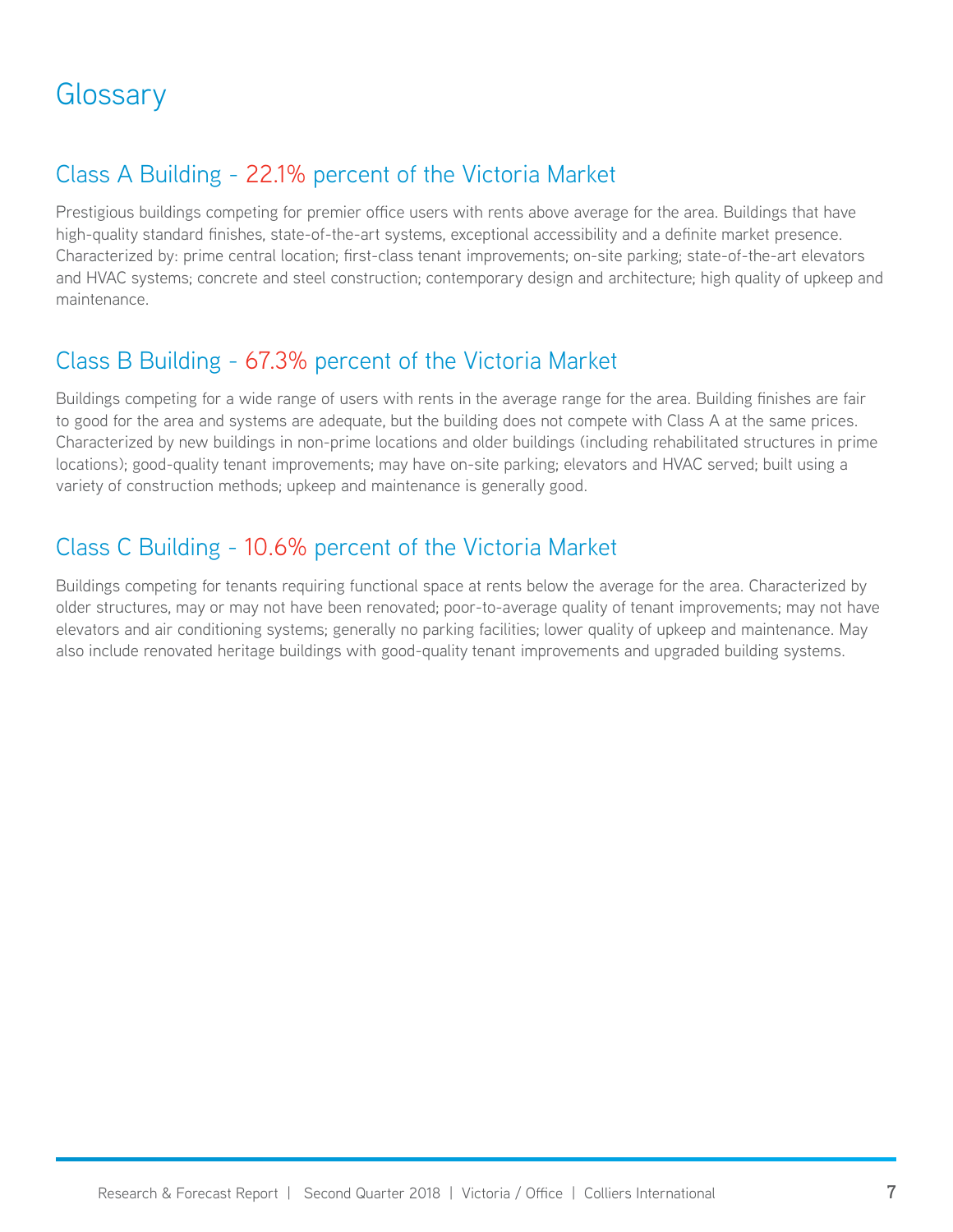# **Glossary**

## Class A Building - 22.1% percent of the Victoria Market

Prestigious buildings competing for premier office users with rents above average for the area. Buildings that have high-quality standard finishes, state-of-the-art systems, exceptional accessibility and a definite market presence. Characterized by: prime central location; first-class tenant improvements; on-site parking; state-of-the-art elevators and HVAC systems; concrete and steel construction; contemporary design and architecture; high quality of upkeep and maintenance.

## Class B Building - 67.3% percent of the Victoria Market

Buildings competing for a wide range of users with rents in the average range for the area. Building finishes are fair to good for the area and systems are adequate, but the building does not compete with Class A at the same prices. Characterized by new buildings in non-prime locations and older buildings (including rehabilitated structures in prime locations); good-quality tenant improvements; may have on-site parking; elevators and HVAC served; built using a variety of construction methods; upkeep and maintenance is generally good.

## Class C Building - 10.6% percent of the Victoria Market

Buildings competing for tenants requiring functional space at rents below the average for the area. Characterized by older structures, may or may not have been renovated; poor-to-average quality of tenant improvements; may not have elevators and air conditioning systems; generally no parking facilities; lower quality of upkeep and maintenance. May also include renovated heritage buildings with good-quality tenant improvements and upgraded building systems.